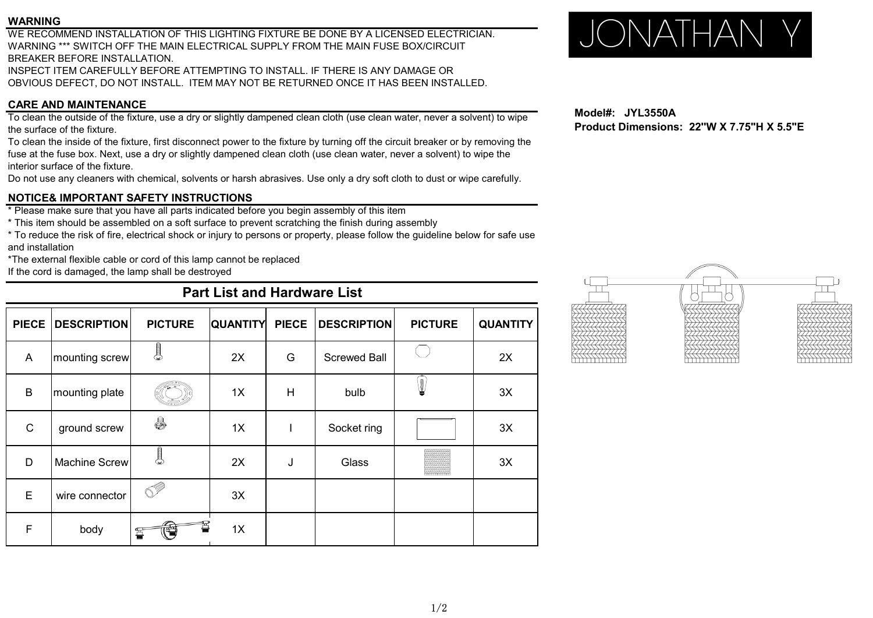#### **WARNING**

WE RECOMMEND INSTALLATION OF THIS LIGHTING FIXTURE BE DONE BY A LICENSED ELECTRICIAN. WARNING \*\*\* SWITCH OFF THE MAIN ELECTRICAL SUPPLY FROM THE MAIN FUSE BOX/CIRCUIT BREAKER BEFORE INSTALLATION.

INSPECT ITEM CAREFULLY BEFORE ATTEMPTING TO INSTALL. IF THERE IS ANY DAMAGE OR OBVIOUS DEFECT, DO NOT INSTALL. ITEM MAY NOT BE RETURNED ONCE IT HAS BEEN INSTALLED.

## **CARE AND MAINTENANCE**

To clean the outside of the fixture, use a dry or slightly dampened clean cloth (use clean water, never a solvent) to wipe the surface of the fixture.

To clean the inside of the fixture, first disconnect power to the fixture by turning off the circuit breaker or by removing the fuse at the fuse box. Next, use a dry or slightly dampened clean cloth (use clean water, never a solvent) to wipe the interior surface of the fixture.

Do not use any cleaners with chemical, solvents or harsh abrasives. Use only a dry soft cloth to dust or wipe carefully.

## **NOTICE& IMPORTANT SAFETY INSTRUCTIONS**

\* Please make sure that you have all parts indicated before you begin assembly of this item

\* This item should be assembled on a soft surface to prevent scratching the finish during assembly

\* To reduce the risk of fire, electrical shock or injury to persons or property, please follow the guideline below for safe use and installation

\*The external flexible cable or cord of this lamp cannot be replaced

If the cord is damaged, the lamp shall be destroyed

# **Part List and Hardware List**

| <b>PIECE</b> | <b>DESCRIPTION</b> | <b>PICTURE</b>            | <b>QUANTITY</b> | <b>PIECE</b> | <b>DESCRIPTION</b>  | <b>PICTURE</b> | <b>QUANTITY</b> |
|--------------|--------------------|---------------------------|-----------------|--------------|---------------------|----------------|-----------------|
| A            | mounting screw     | $\epsilon$ and $\epsilon$ | 2X              | G            | <b>Screwed Ball</b> |                | 2X              |
| B            | mounting plate     |                           | 1X              | H            | bulb                | J,             | 3X              |
| $\mathsf{C}$ | ground screw       | 8                         | 1X              |              | Socket ring         |                | 3X              |
| D            | Machine Screw      | $\bullet$                 | 2X              | J            | Glass               | mmm            | 3X              |
| E            | wire connector     | . U                       | 3X              |              |                     |                |                 |
| F            | body               | È                         | 1X              |              |                     |                |                 |

# JONATHAN Y

**Model#: JYL3550A Product Dimensions: 22''W X 7.75"H X 5.5"E**